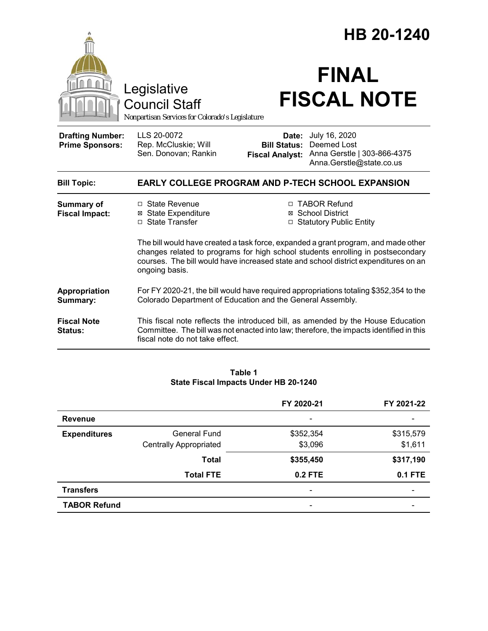|                                                                                        |                                                                                                                                                                                                                                                                                | HB 20-1240                                                                                                                                        |  |
|----------------------------------------------------------------------------------------|--------------------------------------------------------------------------------------------------------------------------------------------------------------------------------------------------------------------------------------------------------------------------------|---------------------------------------------------------------------------------------------------------------------------------------------------|--|
| Legislative<br><b>Council Staff</b><br>Nonpartisan Services for Colorado's Legislature |                                                                                                                                                                                                                                                                                | <b>FINAL</b><br><b>FISCAL NOTE</b>                                                                                                                |  |
| <b>Drafting Number:</b><br><b>Prime Sponsors:</b>                                      | LLS 20-0072<br>Rep. McCluskie; Will<br>Sen. Donovan; Rankin                                                                                                                                                                                                                    | July 16, 2020<br>Date:<br>Deemed Lost<br><b>Bill Status:</b><br>Anna Gerstle   303-866-4375<br><b>Fiscal Analyst:</b><br>Anna.Gerstle@state.co.us |  |
| <b>Bill Topic:</b>                                                                     | EARLY COLLEGE PROGRAM AND P-TECH SCHOOL EXPANSION                                                                                                                                                                                                                              |                                                                                                                                                   |  |
| <b>Summary of</b><br><b>Fiscal Impact:</b>                                             | $\Box$ State Revenue<br><b>⊠</b> State Expenditure<br>□ State Transfer                                                                                                                                                                                                         | □ TABOR Refund<br>⊠ School District<br>□ Statutory Public Entity                                                                                  |  |
|                                                                                        | The bill would have created a task force, expanded a grant program, and made other<br>changes related to programs for high school students enrolling in postsecondary<br>courses. The bill would have increased state and school district expenditures on an<br>ongoing basis. |                                                                                                                                                   |  |
| Appropriation<br>Summary:                                                              | For FY 2020-21, the bill would have required appropriations totaling \$352,354 to the<br>Colorado Department of Education and the General Assembly.                                                                                                                            |                                                                                                                                                   |  |
| <b>Fiscal Note</b><br>Status:                                                          | This fiscal note reflects the introduced bill, as amended by the House Education<br>Committee. The bill was not enacted into law; therefore, the impacts identified in this<br>fiscal note do not take effect.                                                                 |                                                                                                                                                   |  |

#### **Table 1 State Fiscal Impacts Under HB 20-1240**

|                     |                               | FY 2020-21               | FY 2021-22     |
|---------------------|-------------------------------|--------------------------|----------------|
| <b>Revenue</b>      |                               |                          |                |
| <b>Expenditures</b> | <b>General Fund</b>           | \$352,354                | \$315,579      |
|                     | <b>Centrally Appropriated</b> | \$3,096                  | \$1,611        |
|                     | <b>Total</b>                  | \$355,450                | \$317,190      |
|                     | <b>Total FTE</b>              | <b>0.2 FTE</b>           | <b>0.1 FTE</b> |
| <b>Transfers</b>    |                               | $\overline{\phantom{0}}$ |                |
| <b>TABOR Refund</b> |                               | -                        |                |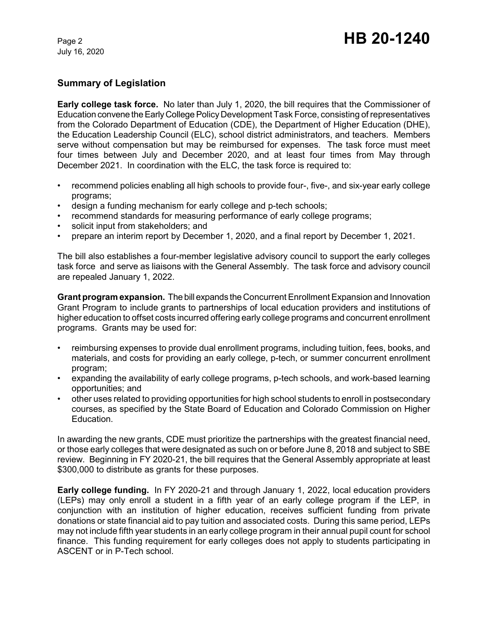July 16, 2020

# **Summary of Legislation**

**Early college task force.** No later than July 1, 2020, the bill requires that the Commissioner of Education convene the Early College Policy Development Task Force, consisting of representatives from the Colorado Department of Education (CDE), the Department of Higher Education (DHE), the Education Leadership Council (ELC), school district administrators, and teachers. Members serve without compensation but may be reimbursed for expenses. The task force must meet four times between July and December 2020, and at least four times from May through December 2021. In coordination with the ELC, the task force is required to:

- recommend policies enabling all high schools to provide four-, five-, and six-year early college programs;
- design a funding mechanism for early college and p-tech schools;
- recommend standards for measuring performance of early college programs;
- solicit input from stakeholders; and
- prepare an interim report by December 1, 2020, and a final report by December 1, 2021.

The bill also establishes a four-member legislative advisory council to support the early colleges task force and serve as liaisons with the General Assembly. The task force and advisory council are repealed January 1, 2022.

**Grant program expansion.** The bill expands the Concurrent Enrollment Expansion and Innovation Grant Program to include grants to partnerships of local education providers and institutions of higher education to offset costs incurred offering early college programs and concurrent enrollment programs. Grants may be used for:

- reimbursing expenses to provide dual enrollment programs, including tuition, fees, books, and materials, and costs for providing an early college, p-tech, or summer concurrent enrollment program;
- expanding the availability of early college programs, p-tech schools, and work-based learning opportunities; and
- other uses related to providing opportunities for high school students to enroll in postsecondary courses, as specified by the State Board of Education and Colorado Commission on Higher Education.

In awarding the new grants, CDE must prioritize the partnerships with the greatest financial need, or those early colleges that were designated as such on or before June 8, 2018 and subject to SBE review. Beginning in FY 2020-21, the bill requires that the General Assembly appropriate at least \$300,000 to distribute as grants for these purposes.

**Early college funding.** In FY 2020-21 and through January 1, 2022, local education providers (LEPs) may only enroll a student in a fifth year of an early college program if the LEP, in conjunction with an institution of higher education, receives sufficient funding from private donations or state financial aid to pay tuition and associated costs. During this same period, LEPs may not include fifth year students in an early college program in their annual pupil count for school finance. This funding requirement for early colleges does not apply to students participating in ASCENT or in P-Tech school.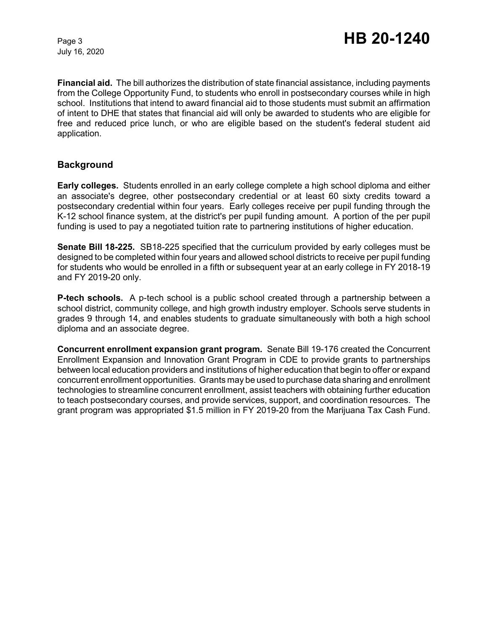July 16, 2020

**Financial aid.** The bill authorizes the distribution of state financial assistance, including payments from the College Opportunity Fund, to students who enroll in postsecondary courses while in high school. Institutions that intend to award financial aid to those students must submit an affirmation of intent to DHE that states that financial aid will only be awarded to students who are eligible for free and reduced price lunch, or who are eligible based on the student's federal student aid application.

## **Background**

**Early colleges.** Students enrolled in an early college complete a high school diploma and either an associate's degree, other postsecondary credential or at least 60 sixty credits toward a postsecondary credential within four years. Early colleges receive per pupil funding through the K-12 school finance system, at the district's per pupil funding amount. A portion of the per pupil funding is used to pay a negotiated tuition rate to partnering institutions of higher education.

**Senate Bill 18-225.** SB18-225 specified that the curriculum provided by early colleges must be designed to be completed within four years and allowed school districts to receive per pupil funding for students who would be enrolled in a fifth or subsequent year at an early college in FY 2018-19 and FY 2019-20 only.

**P-tech schools.** A p-tech school is a public school created through a partnership between a school district, community college, and high growth industry employer. Schools serve students in grades 9 through 14, and enables students to graduate simultaneously with both a high school diploma and an associate degree.

**Concurrent enrollment expansion grant program.** Senate Bill 19-176 created the Concurrent Enrollment Expansion and Innovation Grant Program in CDE to provide grants to partnerships between local education providers and institutions of higher education that begin to offer or expand concurrent enrollment opportunities. Grants may be used to purchase data sharing and enrollment technologies to streamline concurrent enrollment, assist teachers with obtaining further education to teach postsecondary courses, and provide services, support, and coordination resources. The grant program was appropriated \$1.5 million in FY 2019-20 from the Marijuana Tax Cash Fund.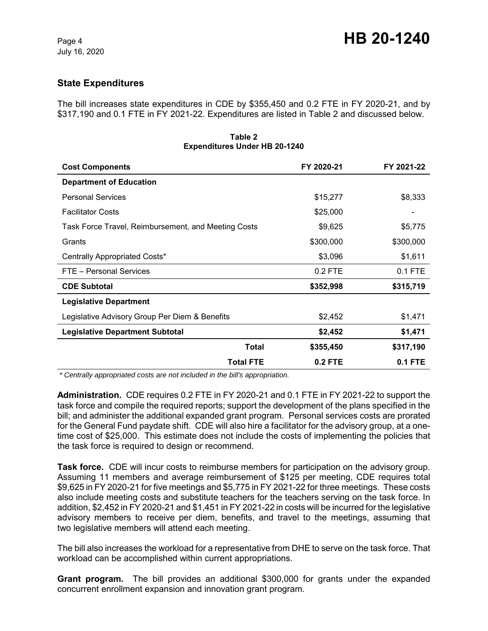## **State Expenditures**

The bill increases state expenditures in CDE by \$355,450 and 0.2 FTE in FY 2020-21, and by \$317,190 and 0.1 FTE in FY 2021-22. Expenditures are listed in Table 2 and discussed below.

| <b>Cost Components</b>                              | FY 2020-21 | FY 2021-22 |
|-----------------------------------------------------|------------|------------|
| <b>Department of Education</b>                      |            |            |
| <b>Personal Services</b>                            | \$15,277   | \$8,333    |
| <b>Facilitator Costs</b>                            | \$25,000   |            |
| Task Force Travel, Reimbursement, and Meeting Costs | \$9,625    | \$5,775    |
| Grants                                              | \$300,000  | \$300,000  |
| Centrally Appropriated Costs*                       | \$3,096    | \$1,611    |
| FTE - Personal Services                             | $0.2$ FTE  | $0.1$ FTE  |
| <b>CDE Subtotal</b>                                 | \$352,998  | \$315,719  |
| <b>Legislative Department</b>                       |            |            |
| Legislative Advisory Group Per Diem & Benefits      | \$2,452    | \$1,471    |
| <b>Legislative Department Subtotal</b>              | \$2,452    | \$1,471    |
| <b>Total</b>                                        | \$355,450  | \$317,190  |
| <b>Total FTE</b>                                    | $0.2$ FTE  | $0.1$ FTE  |

#### **Table 2 Expenditures Under HB 20-1240**

 *\* Centrally appropriated costs are not included in the bill's appropriation.*

**Administration.** CDE requires 0.2 FTE in FY 2020-21 and 0.1 FTE in FY 2021-22 to support the task force and compile the required reports; support the development of the plans specified in the bill; and administer the additional expanded grant program. Personal services costs are prorated for the General Fund paydate shift. CDE will also hire a facilitator for the advisory group, at a onetime cost of \$25,000. This estimate does not include the costs of implementing the policies that the task force is required to design or recommend.

**Task force.** CDE will incur costs to reimburse members for participation on the advisory group. Assuming 11 members and average reimbursement of \$125 per meeting, CDE requires total \$9,625 in FY 2020-21 for five meetings and \$5,775 in FY 2021-22 for three meetings. These costs also include meeting costs and substitute teachers for the teachers serving on the task force. In addition, \$2,452 in FY 2020-21 and \$1,451 in FY 2021-22 in costs will be incurred for the legislative advisory members to receive per diem, benefits, and travel to the meetings, assuming that two legislative members will attend each meeting.

The bill also increases the workload for a representative from DHE to serve on the task force. That workload can be accomplished within current appropriations.

**Grant program.** The bill provides an additional \$300,000 for grants under the expanded concurrent enrollment expansion and innovation grant program.